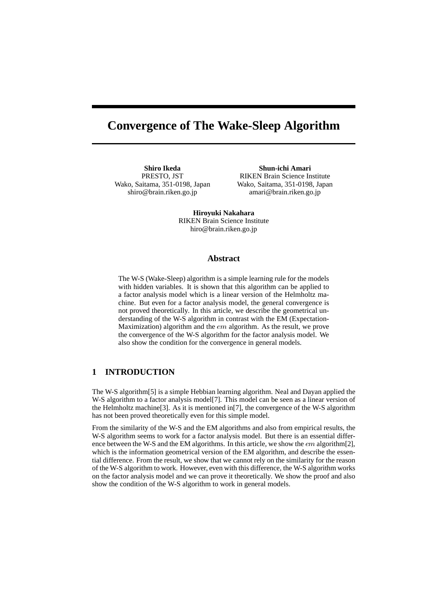# **Convergence of The Wake-Sleep Algorithm**

**Shiro Ikeda** PRESTO, JST Wako, Saitama, 351-0198, Japan shiro@brain.riken.go.jp

**Shun-ichi Amari** RIKEN Brain Science Institute Wako, Saitama, 351-0198, Japan amari@brain.riken.go.jp

**Hiroyuki Nakahara** RIKEN Brain Science Institute hiro@brain.riken.go.jp

#### **Abstract**

The W-S (Wake-Sleep) algorithm is a simple learning rule for the models with hidden variables. It is shown that this algorithm can be applied to a factor analysis model which is a linear version of the Helmholtz machine. But even for a factor analysis model, the general convergence is not proved theoretically. In this article, we describe the geometrical understanding of the W-S algorithm in contrast with the EM (Expectation-Maximization) algorithm and the em algorithm. As the result, we prove the convergence of the W-S algorithm for the factor analysis model. We also show the condition for the convergence in general models.

## **1 INTRODUCTION**

The W-S algorithm[5] is a simple Hebbian learning algorithm. Neal and Dayan applied the W-S algorithm to a factor analysis model[7]. This model can be seen as a linear version of the Helmholtz machine[3]. As it is mentioned in[7], the convergence of the W-S algorithm has not been proved theoretically even for this simple model.

From the similarity of the W-S and the EM algorithms and also from empirical results, the W-S algorithm seems to work for a factor analysis model. But there is an essential difference between the W-S and the EM algorithms. In this article, we show the  $em$  algorithm $[2]$ , which is the information geometrical version of the EM algorithm, and describe the essential difference. From the result, we show that we cannot rely on the similarity for the reason of the W-S algorithm to work. However, even with this difference, the W-S algorithm works on the factor analysis model and we can prove it theoretically. We show the proof and also show the condition of the W-S algorithm to work in general models.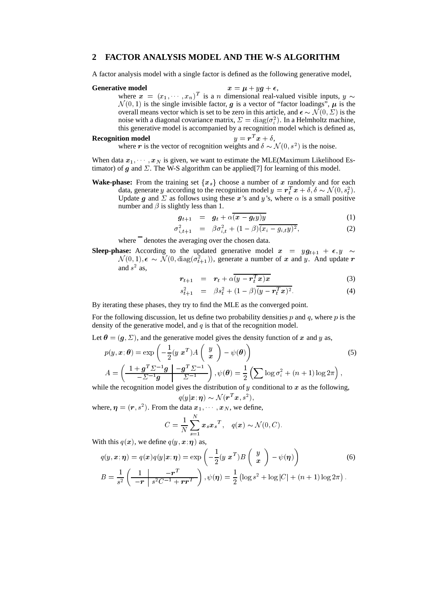## **2 FACTOR ANALYSIS MODEL AND THE W-S ALGORITHM**

A factor analysis model with a single factor is defined as the following generative model,

#### **Generative model**  $x = \mu + yg + \epsilon$ ,

where  $x = (x_1, \dots, x_n)^T$  is a n dimensional real-valued visible inputs,  $y \sim$  $\mathcal{N}(0,1)$  is the single invisible factor, g is a vector of "factor loadings",  $\mu$  is the  $\mathcal{N}(0, 1)$  is the single invisible factor, g is a vector of "factor loadings",  $\mu$  is the overall means vector which is set to be zero in this article, and  $\epsilon \sim \mathcal{N}(0, \Sigma)$  is the noise with a diagonal covariance matrix,  $\Sigma = diag(\sigma_i^2)$ . In a Helmholtz machine, this generative model is accompanied by a recognition model which is defined as,

#### **Recognition model**  $y = r^T x + \delta,$ **tion model**<br>where r is the vector of recognition weights and  $\delta \sim \mathcal{N}(0, s^2)$  is the noise.

When data  $x_1, \dots, x_N$  is given, we want to estimate the MLE(Maximum Likelihood Estimator) of g and  $\Sigma$ . The W-S algorithm can be applied[7] for learning of this model.

**Wake-phase:** From the training set  $\{x_s\}$  choose a number of x randomly and for each data generate u according to the recognition model  $y = x^T x + \delta \delta$  at  $\Delta f(0, \varepsilon^2)$ data, generate y according to the recognition model  $y = r_t^T x + \delta, \delta \sim \mathcal{N}(0, s_t^2)$ . Update g and  $\Sigma$  as follows using these x's and y's, where  $\alpha$  is a small positive number and  $\beta$  is slightly less than 1.

$$
g_{t+1} = g_t + \alpha \overline{(x - g_t y)y} \tag{1}
$$

$$
\sigma_{i,t+1}^2 = \beta \sigma_{i,t}^2 + (1 - \beta) \overline{(x_i - g_{i,t}y)^2}, \tag{2}
$$

where denotes the averaging over the chosen data.

**Sleep-phase:** According to the updated generative model  $x = yg_{t+1} + \epsilon, y \sim$  $\mathcal{N}(0,1), \epsilon \sim \mathcal{N}(0, \text{diag}(\sigma_{t+1}^2))$ , generate a number of x and y. And update r and  $s^2$  as,

$$
r_{t+1} = r_t + \alpha \overline{(y - r_t^T x)x} \tag{3}
$$

$$
s_{t+1}^2 = \beta s_t^2 + (1 - \beta) \overline{(y - r_t^T x)^2}.
$$
 (4)

By iterating these phases, they try to find the MLE as the converged point.

For the following discussion, let us define two probability densities p and q, where p is the density of the generative model, and  $q$  is that of the recognition model.

Let  $\theta = (g, \Sigma)$ , and the generative model gives the density function of x and y as,

$$
p(y, x; \theta) = \exp\left(-\frac{1}{2}(y x^T) A\begin{pmatrix} y \\ x \end{pmatrix} - \psi(\theta)\right)
$$
(5)  

$$
A = \left(\frac{1 + g^T \Sigma^{-1} g}{-\Sigma^{-1} g} \left| \frac{-g^T \Sigma^{-1}}{\Sigma^{-1}} \right|, \psi(\theta) = \frac{1}{2} \left(\sum \log \sigma_i^2 + (n+1) \log 2\pi\right),
$$
le the recognition model gives the distribution of *y* coefficients are the following.

while the recognition model gives the distribution of y conditional to x as the following,

$$
q(y|\boldsymbol{x};\boldsymbol{\eta}) \sim \mathcal{N}(\boldsymbol{r}^T\boldsymbol{x},s^2),
$$

where, 
$$
\eta = (r, s^2)
$$
. From the data  $x_1, \dots, x_N$ , we define,  

$$
C = \frac{1}{N} \sum_{s=1}^N x_s x_s^T, \quad q(x) \sim \mathcal{N}(0, C).
$$

With this  $q(x)$ , we define  $q(y, x; \eta)$  as,

$$
q(y, x; \eta) = q(x)q(y|x; \eta) = \exp\left(-\frac{1}{2}(y x^T)B\left(\begin{array}{c} y \\ x \end{array}\right) - \psi(\eta)\right)
$$
(6)  

$$
B = \frac{1}{s^2} \left(\frac{1}{-r} \left|\frac{-r^T}{s^2 C^{-1} + rr^T}\right), \psi(\eta) = \frac{1}{2} \left(\log s^2 + \log|C| + (n+1)\log 2\pi\right).
$$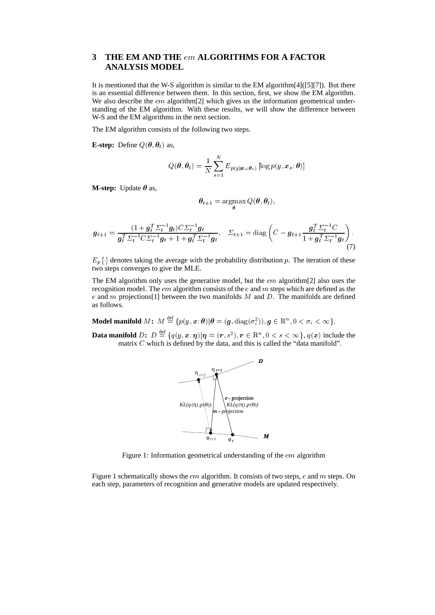## **3 THE EM AND THE** em **ALGORITHMS FOR A FACTOR ANALYSIS MODEL**

It is mentioned that the W-S algorithm is similar to the EM algorithm[4]([5][7]). But there is an essential difference between them. In this section, first, we show the EM algorithm. We also describe the *em* algorithm<sup>[2]</sup> which gives us the information geometrical understanding of the EM algorithm. With these results, we will show the difference between W-S and the EM algorithms in the next section.

The EM algorithm consists of the following two steps.

**E-step:** Define  $Q(\theta, \theta_t)$  as,

$$
Q(\boldsymbol{\theta}, \boldsymbol{\theta}_t) = \frac{1}{N} \sum_{s=1}^{N} E_{p(y|\boldsymbol{x}_s; \boldsymbol{\theta}_t)} \left[ \log p(y, \boldsymbol{x}_s; \boldsymbol{\theta}) \right]
$$

**M-step:** Update  $\theta$  as,

$$
\boldsymbol{\theta}_{t+1} = \argmax_{\boldsymbol{\theta}} Q(\boldsymbol{\theta}, \boldsymbol{\theta}_t),
$$

$$
\boldsymbol{g}_{t+1} = \frac{(1 + \boldsymbol{g}_t^T \Sigma_t^{-1} \boldsymbol{g}_t) C \Sigma_t^{-1} \boldsymbol{g}_t}{\boldsymbol{g}_t^T \Sigma_t^{-1} C \Sigma_t^{-1} \boldsymbol{g}_t + 1 + \boldsymbol{g}_t^T \Sigma_t^{-1} \boldsymbol{g}_t}, \quad \Sigma_{t+1} = \text{diag}\left(C - \boldsymbol{g}_{t+1} \frac{\boldsymbol{g}_t^T \Sigma_t^{-1} C}{1 + \boldsymbol{g}_t^T \Sigma_t^{-1} \boldsymbol{g}_t}\right). \tag{7}
$$

 $E_p$ [ $\cdot$ ] denotes taking the average with the probability distribution p. The iteration of these two steps converges to give the MLE.

The EM algorithm only uses the generative model, but the em algorithm[2] also uses the recognition model. The  $em$  algorithm consists of the  $e$  and  $m$  steps which are defined as the e and m projections [1] between the two manifolds  $M$  and  $D$ . The manifolds are defined as follows.

Model manifold  $M\colon\,M\stackrel{\rm def}{=} \{p(y,\bm{x};\bm\theta)|\bm\theta=(\bm{g},\mathrm{diag}(\sigma_i^2)),\bm{g}\in\mathrm{R}^n,0<\sigma_i<\infty\}.$ 

**Data manifold**  $D: D \stackrel{\text{def}}{=} \{q(y, x; \eta) | \eta = (r, s^2), r \in \mathbb{R}^n, 0 \lt s \lt \infty\}, q(x) \text{ include the }$ matrix  $C$  which is defined by the data, and this is called the "data manifold".



Figure 1: Information geometrical understanding of the *em* algorithm

Figure 1 schematically shows the *em* algorithm. It consists of two steps, *e* and *m* steps. On each step, parameters of recognition and generative models are updated respectively.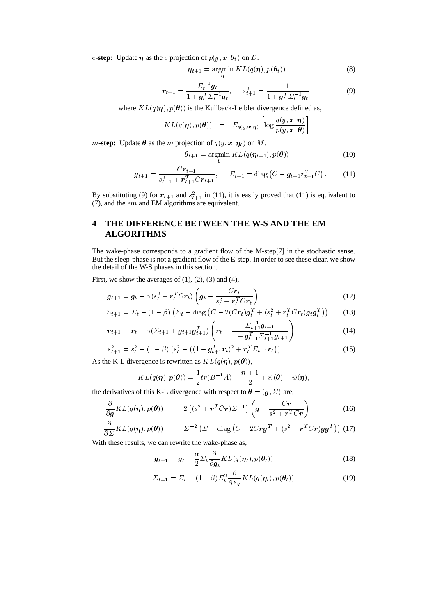*e*-step: Update  $\eta$  as the *e* projection of  $p(y, x; \theta_t)$  on *D*.

$$
\eta_{t+1} = \operatorname*{argmin}_{\eta} KL(q(\eta), p(\theta_t))
$$
\n(8)

$$
r_{t+1} = \frac{\Sigma_t^{-1} g_t}{1 + g_t^T \Sigma_t^{-1} g_t}, \qquad s_{t+1}^2 = \frac{1}{1 + g_t^T \Sigma_t^{-1} g_t}.
$$
(9)

where  $KL(q(\eta), p(\theta))$  is the Kullback-Leibler divergence defined as,

$$
KL(q(\boldsymbol{\eta}), p(\boldsymbol{\theta})) = E_{q(y, \boldsymbol{x}; \boldsymbol{\eta})} \left[ \log \frac{q(y, \boldsymbol{x}; \boldsymbol{\eta})}{p(y, \boldsymbol{x}; \boldsymbol{\theta})} \right]
$$

 $m$ -step: Update  $\theta$  as the m projection of  $q(y, x; \eta_t)$  on M.

$$
\boldsymbol{\theta}_{t+1} = \underset{\boldsymbol{\theta}}{\operatorname{argmin}} \, KL(q(\boldsymbol{\eta}_{t+1}), p(\boldsymbol{\theta})) \tag{10}
$$

$$
\boldsymbol{g}_{t+1} = \frac{C \boldsymbol{r}_{t+1}}{s_{t+1}^2 + \boldsymbol{r}_{t+1}^T C \boldsymbol{r}_{t+1}}, \quad \Sigma_{t+1} = \text{diag}\left(C - \boldsymbol{g}_{t+1} \boldsymbol{r}_{t+1}^T C\right). \quad (11)
$$

By substituting (9) for  $r_{t+1}$  and  $s_{t+1}^2$  in (11), it is easily proved that (11) is equivalent to (7), and the  $em$  and EM algorithms are equivalent.

## **4 THE DIFFERENCE BETWEEN THE W-S AND THE EM ALGORITHMS**

The wake-phase corresponds to a gradient flow of the M-step[7] in the stochastic sense. But the sleep-phase is not a gradient flow of the E-step. In order to see these clear, we show the detail of the W-S phases in this section.

First, we show the averages of  $(1)$ ,  $(2)$ ,  $(3)$  and  $(4)$ ,

$$
\boldsymbol{g}_{t+1} = \boldsymbol{g}_t - \alpha (s_t^2 + \boldsymbol{r}_t^T C \boldsymbol{r}_t) \left( \boldsymbol{g}_t - \frac{C \boldsymbol{r}_t}{s_t^2 + \boldsymbol{r}_t^T C \boldsymbol{r}_t} \right)
$$
(12)

$$
\Sigma_{t+1} = \Sigma_t - (1-\beta) \left( \Sigma_t - \text{diag} \left( C - 2(Cr_t) \mathbf{g}_t^T + (s_t^2 + r_t^T C r_t) \mathbf{g}_t \mathbf{g}_t^T \right) \right) \tag{13}
$$

$$
r_{t+1} = r_t - \alpha (\Sigma_{t+1} + g_{t+1} g_{t+1}^T) \left( r_t - \frac{\Sigma_{t+1}^{-1} g_{t+1}}{1 + g_{t+1}^T \Sigma_{t+1}^{-1} g_{t+1}} \right)
$$
(14)

$$
s_{t+1}^2 = s_t^2 - (1 - \beta) \left( s_t^2 - \left( (1 - g_{t+1}^T r_t)^2 + r_t^T \Sigma_{t+1} r_t \right) \right). \tag{15}
$$

As the K-L divergence is rewritten as  $KL(q(\eta), p(\theta))$ ,

$$
KL(q(\boldsymbol{\eta}), p(\boldsymbol{\theta})) = \frac{1}{2}tr(B^{-1}A) - \frac{n+1}{2} + \psi(\boldsymbol{\theta}) - \psi(\boldsymbol{\eta}),
$$

the derivatives of this K-L divergence with respect to  $\theta = (g, \Sigma)$  are,

$$
\frac{\partial}{\partial g} KL(q(\boldsymbol{\eta}), p(\boldsymbol{\theta})) = 2 ((s^2 + \boldsymbol{r}^T C \boldsymbol{r}) \Sigma^{-1}) \left( \boldsymbol{g} - \frac{C \boldsymbol{r}}{s^2 + \boldsymbol{r}^T C \boldsymbol{r}} \right)
$$
(16)

$$
\frac{\partial}{\partial \Sigma} KL(q(\boldsymbol{\eta}), p(\boldsymbol{\theta})) = \Sigma^{-2} \left( \Sigma - \text{diag} \left( C - 2C \boldsymbol{r} \boldsymbol{g}^T + (s^2 + \boldsymbol{r}^T C \boldsymbol{r}) \boldsymbol{g} \boldsymbol{g}^T \right) \right) . (17)
$$

With these results, we can rewrite the wake-phase as,

$$
\boldsymbol{g}_{t+1} = \boldsymbol{g}_t - \frac{\alpha}{2} \Sigma_t \frac{\partial}{\partial \boldsymbol{g}_t} KL(q(\boldsymbol{\eta}_t), p(\boldsymbol{\theta}_t))
$$
(18)

$$
\Sigma_{t+1} = \Sigma_t - (1 - \beta) \Sigma_t^2 \frac{\partial}{\partial \Sigma_t} KL(q(\boldsymbol{\eta}_t), p(\boldsymbol{\theta}_t))
$$
(19)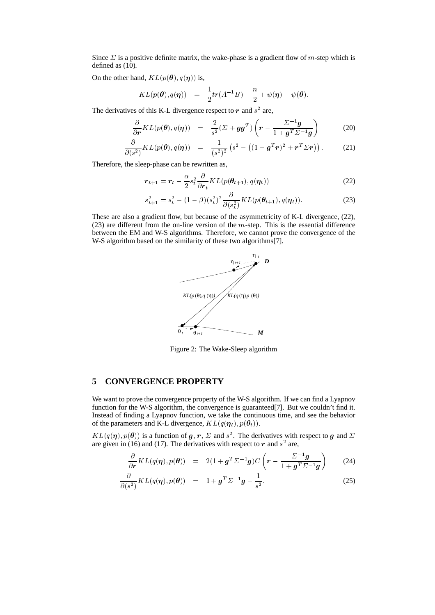Since  $\Sigma$  is a positive definite matrix, the wake-phase is a gradient flow of m-step which is defined as (10).

On the other hand,  $KL(p(\theta), q(\eta))$  is,

$$
KL(p(\theta), q(\eta)) = \frac{1}{2}tr(A^{-1}B) - \frac{n}{2} + \psi(\eta) - \psi(\theta).
$$

The derivatives of this K-L divergence respect to  $r$  and  $s<sup>2</sup>$  are,

$$
\frac{\partial}{\partial r} KL(p(\theta), q(\eta)) = \frac{2}{s^2} (\Sigma + gg^T) \left( r - \frac{\Sigma^{-1}g}{1 + g^T \Sigma^{-1}g} \right) \tag{20}
$$

$$
\frac{\partial}{\partial(s^2)} KL(p(\boldsymbol{\theta}), q(\boldsymbol{\eta})) = \frac{1}{(s^2)^2} \left(s^2 - \left( (1 - \boldsymbol{g}^T \boldsymbol{r})^2 + \boldsymbol{r}^T \boldsymbol{\Sigma} \boldsymbol{r} \right) \right). \tag{21}
$$

Therefore, the sleep-phase can be rewritten as,

$$
r_{t+1} = r_t - \frac{\alpha}{2} s_t^2 \frac{\partial}{\partial r_t} KL(p(\theta_{t+1}), q(\eta_t))
$$
\n(22)

$$
s_{t+1}^2 = s_t^2 - (1 - \beta)(s_t^2)^2 \frac{\partial}{\partial (s_t^2)} KL(p(\theta_{t+1}), q(\eta_t)).
$$
\n(23)

These are also a gradient flow, but because of the asymmetricity of K-L divergence, (22), (23) are different from the on-line version of the  $m$ -step. This is the essential difference between the EM and W-S algorithms. Therefore, we cannot prove the convergence of the W-S algorithm based on the similarity of these two algorithms[7].



Figure 2: The Wake-Sleep algorithm

## **5 CONVERGENCE PROPERTY**

We want to prove the convergence property of the W-S algorithm. If we can find a Lyapnov function for the W-S algorithm, the convergence is guaranteed[7]. But we couldn't find it. Instead of finding a Lyapnov function, we take the continuous time, and see the behavior of the parameters and K-L divergence,  $KL(q(\eta_t), p(\theta_t)).$ 

 $KL(q(\eta), p(\theta))$  is a function of g, r,  $\Sigma$  and  $s^2$ . The derivatives with respect to g and  $\Sigma$ are given in (16) and (17). The derivatives with respect to  $r$  and  $s<sup>2</sup>$  are,

$$
\frac{\partial}{\partial r} KL(q(\boldsymbol{\eta}), p(\boldsymbol{\theta})) = 2(1 + \boldsymbol{g}^T \boldsymbol{\Sigma}^{-1} \boldsymbol{g}) C \left( \boldsymbol{r} - \frac{\boldsymbol{\Sigma}^{-1} \boldsymbol{g}}{1 + \boldsymbol{g}^T \boldsymbol{\Sigma}^{-1} \boldsymbol{g}} \right)
$$
(24)

$$
\frac{\partial}{\partial(s^2)} KL(q(\boldsymbol{\eta}), p(\boldsymbol{\theta})) = 1 + \boldsymbol{g}^T \Sigma^{-1} \boldsymbol{g} - \frac{1}{s^2}.
$$
 (25)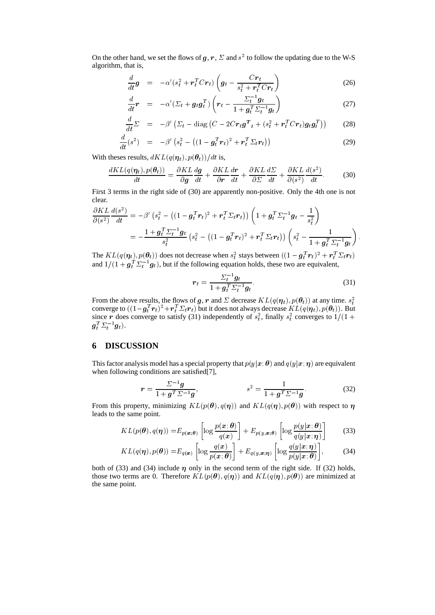On the other hand, we set the flows of  $g, r, \Sigma$  and  $s^2$  to follow the updating due to the W-S algorithm, that is,

$$
\frac{d}{dt}\boldsymbol{g} = -\alpha'(s_t^2 + \boldsymbol{r}_t^T C \boldsymbol{r}_t) \left(\boldsymbol{g}_t - \frac{C \boldsymbol{r}_t}{s_t^2 + \boldsymbol{r}_t^T C \boldsymbol{r}_t}\right) \tag{26}
$$

$$
\frac{d}{dt}\boldsymbol{r} = -\alpha'(\Sigma_t + \boldsymbol{g}_t\boldsymbol{g}_t^T) \left(\boldsymbol{r}_t - \frac{\Sigma_t^{-1}\boldsymbol{g}_t}{1 + \boldsymbol{g}_t^T \Sigma_t^{-1} \boldsymbol{g}_t}\right) \tag{27}
$$

$$
\frac{d}{dt}\Sigma = -\beta'\left(\Sigma_t - \text{diag}\left(C - 2Cr_t\boldsymbol{g}^T{}_t + (s_t^2 + \boldsymbol{r}_t^T Cr_t)\boldsymbol{g}_t\boldsymbol{g}_t^T\right)\right) \tag{28}
$$

$$
\frac{d}{dt}(s^2) = -\beta' \left(s_t^2 - \left( (1 - g_t^T r_t)^2 + r_t^T \Sigma_t r_t \right) \right)
$$
\n(29)

With theses results,  $dKL(q(\boldsymbol{\eta}_t), p(\boldsymbol{\theta}_t)) / dt$  is,

$$
\frac{dKL(q(\eta_t), p(\theta_t))}{dt} = \frac{\partial KL}{\partial g} \frac{dg}{dt} + \frac{\partial KL}{\partial r} \frac{dr}{dt} + \frac{\partial KL}{\partial \Sigma} \frac{d\Sigma}{dt} + \frac{\partial KL}{\partial (s^2)} \frac{d(s^2)}{dt}.
$$
(30)

First 3 terms in the right side of (30) are apparently non-positive. Only the 4th one is not clear.

$$
\frac{\partial KL}{\partial (s^2)} \frac{d(s^2)}{dt} = -\beta' \left(s_t^2 - \left( (1 - g_t^T r_t)^2 + r_t^T \Sigma_t r_t \right) \right) \left( 1 + g_t^T \Sigma_t^{-1} g_t - \frac{1}{s_t^2} \right)
$$
  
= 
$$
-\frac{1 + g_t^T \Sigma_t^{-1} g_t}{s_t^2} \left( s_t^2 - \left( (1 - g_t^T r_t)^2 + r_t^T \Sigma_t r_t \right) \right) \left( s_t^2 - \frac{1}{1 + g_t^T \Sigma_t^{-1} g_t} \right).
$$

The  $KL(q(\eta_t), p(\theta_t))$  does not decrease when  $s_t^2$  stays between  $((1 - g_t^T r_t)^2 + r_t^T \Sigma_t r_t)$ <br>and  $1/(1 + g_t^T \Sigma_t^{-1} g_t)$ , but if the following equation holds, these two are equivalent,

$$
r_t = \frac{\Sigma_t^{-1} g_t}{1 + g_t^T \Sigma_t^{-1} g_t}.
$$
\n(31)

From the above results, the flows of g, r and  $\Sigma$  decrease  $KL(q(\eta_t), p(\theta_t))$  at any time.  $s_t^2$ converge to  $((1-\bm{g}_t^T\bm{r}_t)^2+\bm{r}_t^T\bm{\Sigma}_t\bm{r}_t)$  but it does not always decrease  $KL(q(\bm{\eta}_t),p(\bm{\theta}_t)).$  But since r does converge to satisfy (31) independently of  $s_t^2$ , finally  $s_t^2$  converges to  $1/(1 +$  $\bm{g}_t^T \varSigma_t^{-1} \bm{g}_t).$ 

## **6 DISCUSSION**

This factor analysis model has a special property that  $p(y|x; \theta)$  and  $q(y|x; \eta)$  are equivalent when following conditions are satisfied<sup>[7]</sup>,

$$
r = \frac{\Sigma^{-1}g}{1 + g^T \Sigma^{-1}g}, \qquad s^2 = \frac{1}{1 + g^T \Sigma^{-1}g}.
$$
 (32)

From this property, minimizing  $KL(p(\theta), q(\eta))$  and  $KL(q(\eta), p(\theta))$  with respect to  $\eta$ leads to the same point.

$$
KL(p(\boldsymbol{\theta}), q(\boldsymbol{\eta})) = E_{p(\boldsymbol{x};\boldsymbol{\theta})} \left[ \log \frac{p(\boldsymbol{x};\boldsymbol{\theta})}{q(\boldsymbol{x})} \right] + E_{p(y,\boldsymbol{x};\boldsymbol{\theta})} \left[ \log \frac{p(y|\boldsymbol{x};\boldsymbol{\theta})}{q(y|\boldsymbol{x};\boldsymbol{\eta})} \right]
$$
(33)

$$
KL(q(\boldsymbol{\eta}), p(\boldsymbol{\theta})) = E_{q(\boldsymbol{x})} \left[ \log \frac{q(\boldsymbol{x})}{p(\boldsymbol{x}; \boldsymbol{\theta})} \right] + E_{q(\boldsymbol{y}, \boldsymbol{x}; \boldsymbol{\eta})} \left[ \log \frac{q(\boldsymbol{y}|\boldsymbol{x}; \boldsymbol{\eta})}{p(\boldsymbol{y}|\boldsymbol{x}; \boldsymbol{\theta})} \right],
$$
(34)

both of (33) and (34) include  $\eta$  only in the second term of the right side. If (32) holds, those two terms are 0. Therefore  $KL(p(\theta), q(\eta))$  and  $KL(q(\eta), p(\theta))$  are minimized at the same point.